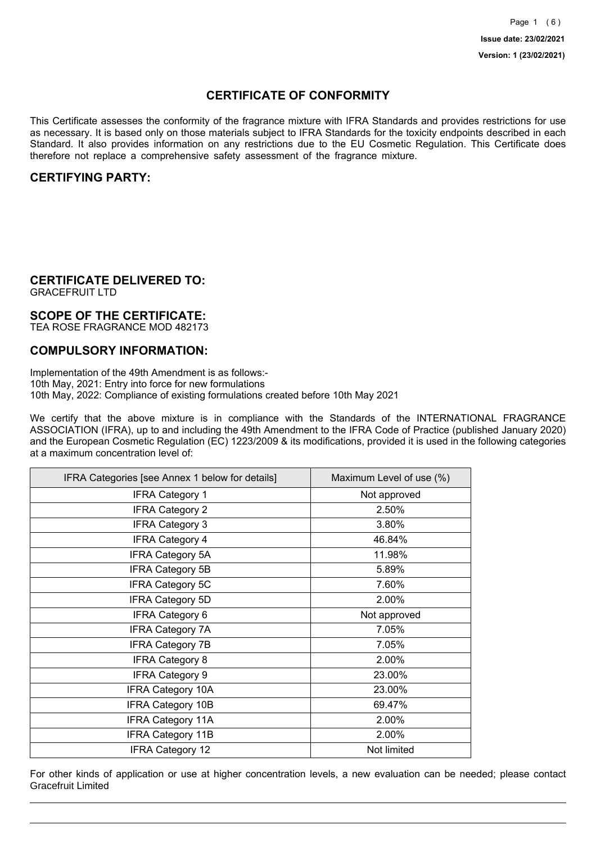## **CERTIFICATE OF CONFORMITY**

This Certificate assesses the conformity of the fragrance mixture with IFRA Standards and provides restrictions for use as necessary. It is based only on those materials subject to IFRA Standards for the toxicity endpoints described in each Standard. It also provides information on any restrictions due to the EU Cosmetic Regulation. This Certificate does therefore not replace a comprehensive safety assessment of the fragrance mixture.

## **CERTIFYING PARTY:**

## **CERTIFICATE DELIVERED TO:**

GRACEFRUIT LTD

## **SCOPE OF THE CERTIFICATE:**

TEA ROSE FRAGRANCE MOD 482173

## **COMPULSORY INFORMATION:**

Implementation of the 49th Amendment is as follows:- 10th May, 2021: Entry into force for new formulations 10th May, 2022: Compliance of existing formulations created before 10th May 2021

We certify that the above mixture is in compliance with the Standards of the INTERNATIONAL FRAGRANCE ASSOCIATION (IFRA), up to and including the 49th Amendment to the IFRA Code of Practice (published January 2020) and the European Cosmetic Regulation (EC) 1223/2009 & its modifications, provided it is used in the following categories at a maximum concentration level of:

| IFRA Categories [see Annex 1 below for details] | Maximum Level of use (%) |
|-------------------------------------------------|--------------------------|
| <b>IFRA Category 1</b>                          | Not approved             |
| <b>IFRA Category 2</b>                          | 2.50%                    |
| <b>IFRA Category 3</b>                          | 3.80%                    |
| <b>IFRA Category 4</b>                          | 46.84%                   |
| <b>IFRA Category 5A</b>                         | 11.98%                   |
| <b>IFRA Category 5B</b>                         | 5.89%                    |
| <b>IFRA Category 5C</b>                         | 7.60%                    |
| <b>IFRA Category 5D</b>                         | 2.00%                    |
| <b>IFRA Category 6</b>                          | Not approved             |
| <b>IFRA Category 7A</b>                         | 7.05%                    |
| <b>IFRA Category 7B</b>                         | 7.05%                    |
| <b>IFRA Category 8</b>                          | 2.00%                    |
| <b>IFRA Category 9</b>                          | 23.00%                   |
| <b>IFRA Category 10A</b>                        | 23.00%                   |
| <b>IFRA Category 10B</b>                        | 69.47%                   |
| <b>IFRA Category 11A</b>                        | 2.00%                    |
| <b>IFRA Category 11B</b>                        | 2.00%                    |
| <b>IFRA Category 12</b>                         | Not limited              |

For other kinds of application or use at higher concentration levels, a new evaluation can be needed; please contact Gracefruit Limited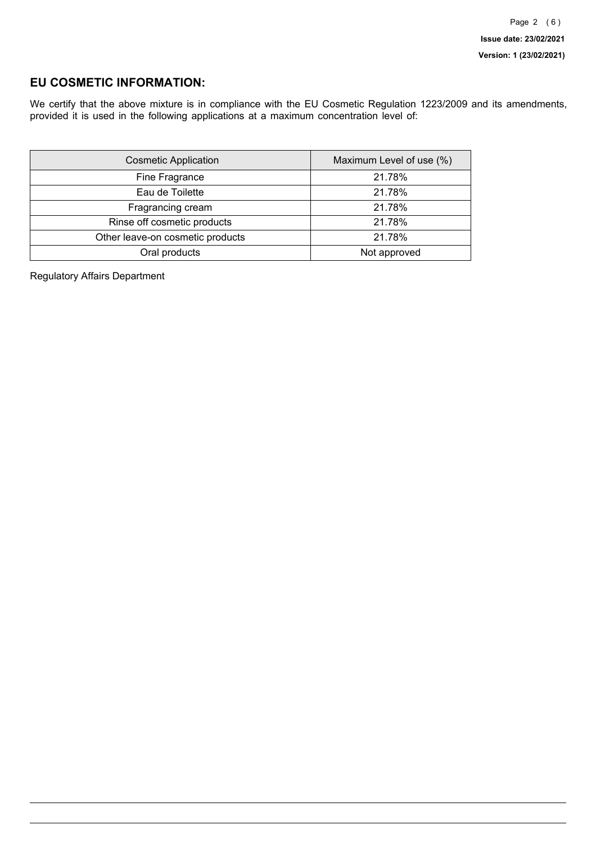## **EU COSMETIC INFORMATION:**

We certify that the above mixture is in compliance with the EU Cosmetic Regulation 1223/2009 and its amendments, provided it is used in the following applications at a maximum concentration level of:

| <b>Cosmetic Application</b>      | Maximum Level of use (%) |
|----------------------------------|--------------------------|
| Fine Fragrance                   | 21.78%                   |
| Eau de Toilette                  | 21.78%                   |
| Fragrancing cream                | 21.78%                   |
| Rinse off cosmetic products      | 21.78%                   |
| Other leave-on cosmetic products | 21.78%                   |
| Oral products                    | Not approved             |

Regulatory Affairs Department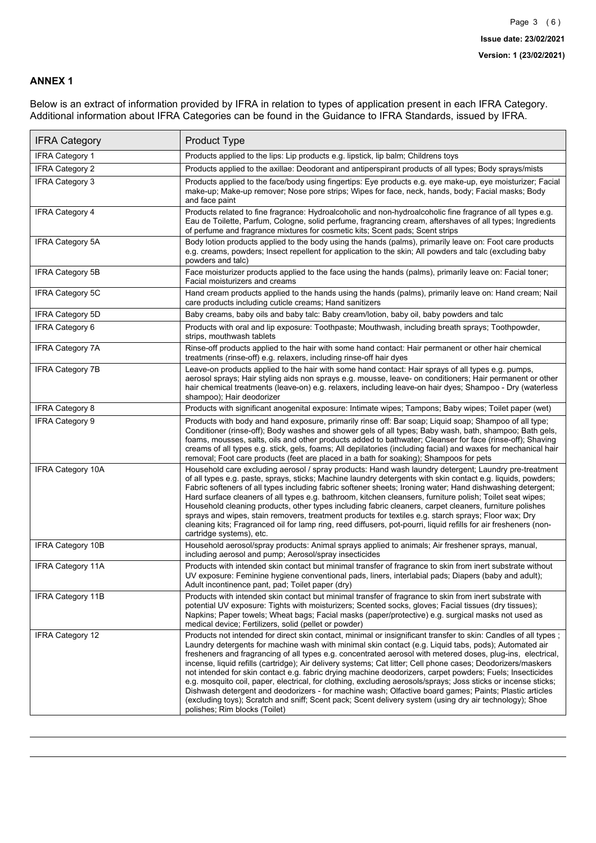### **ANNEX 1**

Below is an extract of information provided by IFRA in relation to types of application present in each IFRA Category. Additional information about IFRA Categories can be found in the Guidance to IFRA Standards, issued by IFRA.

| <b>IFRA Category</b>     | Product Type                                                                                                                                                                                                                                                                                                                                                                                                                                                                                                                                                                                                                                                                                                                                                                                                                                                                                                                                 |
|--------------------------|----------------------------------------------------------------------------------------------------------------------------------------------------------------------------------------------------------------------------------------------------------------------------------------------------------------------------------------------------------------------------------------------------------------------------------------------------------------------------------------------------------------------------------------------------------------------------------------------------------------------------------------------------------------------------------------------------------------------------------------------------------------------------------------------------------------------------------------------------------------------------------------------------------------------------------------------|
| IFRA Category 1          | Products applied to the lips: Lip products e.g. lipstick, lip balm; Childrens toys                                                                                                                                                                                                                                                                                                                                                                                                                                                                                                                                                                                                                                                                                                                                                                                                                                                           |
| <b>IFRA Category 2</b>   | Products applied to the axillae: Deodorant and antiperspirant products of all types; Body sprays/mists                                                                                                                                                                                                                                                                                                                                                                                                                                                                                                                                                                                                                                                                                                                                                                                                                                       |
| <b>IFRA Category 3</b>   | Products applied to the face/body using fingertips: Eye products e.g. eye make-up, eye moisturizer; Facial<br>make-up; Make-up remover; Nose pore strips; Wipes for face, neck, hands, body; Facial masks; Body<br>and face paint                                                                                                                                                                                                                                                                                                                                                                                                                                                                                                                                                                                                                                                                                                            |
| <b>IFRA Category 4</b>   | Products related to fine fragrance: Hydroalcoholic and non-hydroalcoholic fine fragrance of all types e.g.<br>Eau de Toilette, Parfum, Cologne, solid perfume, fragrancing cream, aftershaves of all types; Ingredients<br>of perfume and fragrance mixtures for cosmetic kits; Scent pads; Scent strips                                                                                                                                                                                                                                                                                                                                                                                                                                                                                                                                                                                                                                     |
| <b>IFRA Category 5A</b>  | Body lotion products applied to the body using the hands (palms), primarily leave on: Foot care products<br>e.g. creams, powders; Insect repellent for application to the skin; All powders and talc (excluding baby<br>powders and talc)                                                                                                                                                                                                                                                                                                                                                                                                                                                                                                                                                                                                                                                                                                    |
| IFRA Category 5B         | Face moisturizer products applied to the face using the hands (palms), primarily leave on: Facial toner;<br>Facial moisturizers and creams                                                                                                                                                                                                                                                                                                                                                                                                                                                                                                                                                                                                                                                                                                                                                                                                   |
| <b>IFRA Category 5C</b>  | Hand cream products applied to the hands using the hands (palms), primarily leave on: Hand cream; Nail<br>care products including cuticle creams; Hand sanitizers                                                                                                                                                                                                                                                                                                                                                                                                                                                                                                                                                                                                                                                                                                                                                                            |
| <b>IFRA Category 5D</b>  | Baby creams, baby oils and baby talc: Baby cream/lotion, baby oil, baby powders and talc                                                                                                                                                                                                                                                                                                                                                                                                                                                                                                                                                                                                                                                                                                                                                                                                                                                     |
| IFRA Category 6          | Products with oral and lip exposure: Toothpaste; Mouthwash, including breath sprays; Toothpowder,<br>strips, mouthwash tablets                                                                                                                                                                                                                                                                                                                                                                                                                                                                                                                                                                                                                                                                                                                                                                                                               |
| <b>IFRA Category 7A</b>  | Rinse-off products applied to the hair with some hand contact: Hair permanent or other hair chemical<br>treatments (rinse-off) e.g. relaxers, including rinse-off hair dyes                                                                                                                                                                                                                                                                                                                                                                                                                                                                                                                                                                                                                                                                                                                                                                  |
| <b>IFRA Category 7B</b>  | Leave-on products applied to the hair with some hand contact: Hair sprays of all types e.g. pumps,<br>aerosol sprays; Hair styling aids non sprays e.g. mousse, leave- on conditioners; Hair permanent or other<br>hair chemical treatments (leave-on) e.g. relaxers, including leave-on hair dyes; Shampoo - Dry (waterless<br>shampoo); Hair deodorizer                                                                                                                                                                                                                                                                                                                                                                                                                                                                                                                                                                                    |
| <b>IFRA Category 8</b>   | Products with significant anogenital exposure: Intimate wipes; Tampons; Baby wipes; Toilet paper (wet)                                                                                                                                                                                                                                                                                                                                                                                                                                                                                                                                                                                                                                                                                                                                                                                                                                       |
| IFRA Category 9          | Products with body and hand exposure, primarily rinse off: Bar soap; Liquid soap; Shampoo of all type;<br>Conditioner (rinse-off); Body washes and shower gels of all types; Baby wash, bath, shampoo; Bath gels,<br>foams, mousses, salts, oils and other products added to bathwater; Cleanser for face (rinse-off); Shaving<br>creams of all types e.g. stick, gels, foams; All depilatories (including facial) and waxes for mechanical hair<br>removal; Foot care products (feet are placed in a bath for soaking); Shampoos for pets                                                                                                                                                                                                                                                                                                                                                                                                   |
| <b>IFRA Category 10A</b> | Household care excluding aerosol / spray products: Hand wash laundry detergent; Laundry pre-treatment<br>of all types e.g. paste, sprays, sticks; Machine laundry detergents with skin contact e.g. liquids, powders;<br>Fabric softeners of all types including fabric softener sheets; Ironing water; Hand dishwashing detergent;<br>Hard surface cleaners of all types e.g. bathroom, kitchen cleansers, furniture polish; Toilet seat wipes;<br>Household cleaning products, other types including fabric cleaners, carpet cleaners, furniture polishes<br>sprays and wipes, stain removers, treatment products for textiles e.g. starch sprays; Floor wax; Dry<br>cleaning kits; Fragranced oil for lamp ring, reed diffusers, pot-pourri, liquid refills for air fresheners (non-<br>cartridge systems), etc.                                                                                                                          |
| <b>IFRA Category 10B</b> | Household aerosol/spray products: Animal sprays applied to animals; Air freshener sprays, manual,<br>including aerosol and pump; Aerosol/spray insecticides                                                                                                                                                                                                                                                                                                                                                                                                                                                                                                                                                                                                                                                                                                                                                                                  |
| <b>IFRA Category 11A</b> | Products with intended skin contact but minimal transfer of fragrance to skin from inert substrate without<br>UV exposure: Feminine hygiene conventional pads, liners, interlabial pads; Diapers (baby and adult);<br>Adult incontinence pant, pad; Toilet paper (dry)                                                                                                                                                                                                                                                                                                                                                                                                                                                                                                                                                                                                                                                                       |
| <b>IFRA Category 11B</b> | Products with intended skin contact but minimal transfer of fragrance to skin from inert substrate with<br>potential UV exposure: Tights with moisturizers; Scented socks, gloves; Facial tissues (dry tissues);<br>Napkins; Paper towels; Wheat bags; Facial masks (paper/protective) e.g. surgical masks not used as<br>medical device; Fertilizers, solid (pellet or powder)                                                                                                                                                                                                                                                                                                                                                                                                                                                                                                                                                              |
| <b>IFRA Category 12</b>  | Products not intended for direct skin contact, minimal or insignificant transfer to skin: Candles of all types;<br>Laundry detergents for machine wash with minimal skin contact (e.g. Liquid tabs, pods); Automated air<br>fresheners and fragrancing of all types e.g. concentrated aerosol with metered doses, plug-ins, electrical,<br>incense, liquid refills (cartridge); Air delivery systems; Cat litter; Cell phone cases; Deodorizers/maskers<br>not intended for skin contact e.g. fabric drying machine deodorizers, carpet powders; Fuels; Insecticides<br>e.g. mosquito coil, paper, electrical, for clothing, excluding aerosols/sprays; Joss sticks or incense sticks;<br>Dishwash detergent and deodorizers - for machine wash; Olfactive board games; Paints; Plastic articles<br>(excluding toys); Scratch and sniff; Scent pack; Scent delivery system (using dry air technology); Shoe<br>polishes; Rim blocks (Toilet) |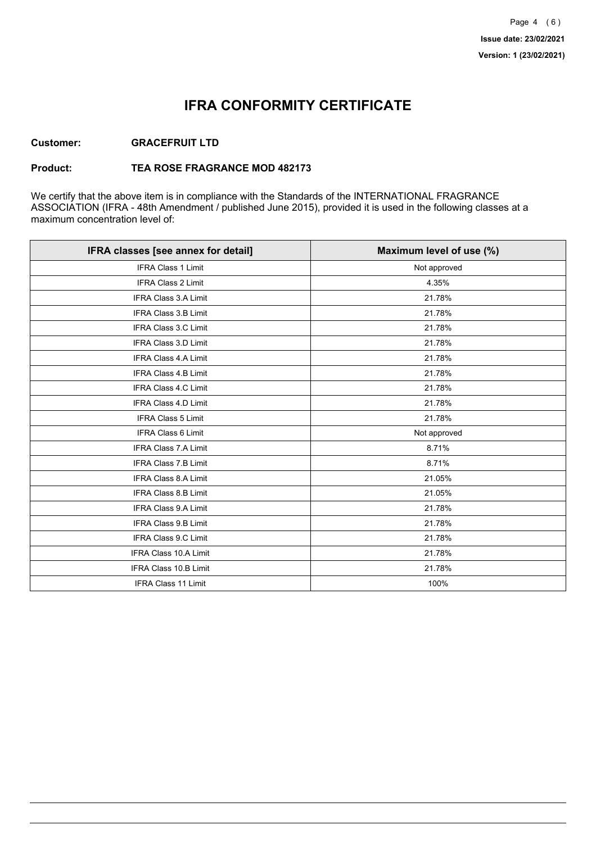## **IFRA CONFORMITY CERTIFICATE**

### **Customer: GRACEFRUIT LTD**

#### **Product: TEA ROSE FRAGRANCE MOD 482173**

We certify that the above item is in compliance with the Standards of the INTERNATIONAL FRAGRANCE ASSOCIATION (IFRA - 48th Amendment / published June 2015), provided it is used in the following classes at a maximum concentration level of:

| IFRA classes [see annex for detail] | Maximum level of use (%) |
|-------------------------------------|--------------------------|
| <b>IFRA Class 1 Limit</b>           | Not approved             |
| IFRA Class 2 Limit                  | 4.35%                    |
| <b>IFRA Class 3.A Limit</b>         | 21.78%                   |
| IFRA Class 3.B Limit                | 21.78%                   |
| <b>IFRA Class 3.C Limit</b>         | 21.78%                   |
| IFRA Class 3.D Limit                | 21.78%                   |
| IFRA Class 4.A Limit                | 21.78%                   |
| <b>IFRA Class 4.B Limit</b>         | 21.78%                   |
| <b>IFRA Class 4.C Limit</b>         | 21.78%                   |
| <b>IFRA Class 4.D Limit</b>         | 21.78%                   |
| <b>IFRA Class 5 Limit</b>           | 21.78%                   |
| IFRA Class 6 Limit                  | Not approved             |
| <b>IFRA Class 7.A Limit</b>         | 8.71%                    |
| <b>IFRA Class 7.B Limit</b>         | 8.71%                    |
| <b>IFRA Class 8.A Limit</b>         | 21.05%                   |
| IFRA Class 8.B Limit                | 21.05%                   |
| IFRA Class 9.A Limit                | 21.78%                   |
| <b>IFRA Class 9.B Limit</b>         | 21.78%                   |
| IFRA Class 9.C Limit                | 21.78%                   |
| IFRA Class 10.A Limit               | 21.78%                   |
| IFRA Class 10.B Limit               | 21.78%                   |
| <b>IFRA Class 11 Limit</b>          | 100%                     |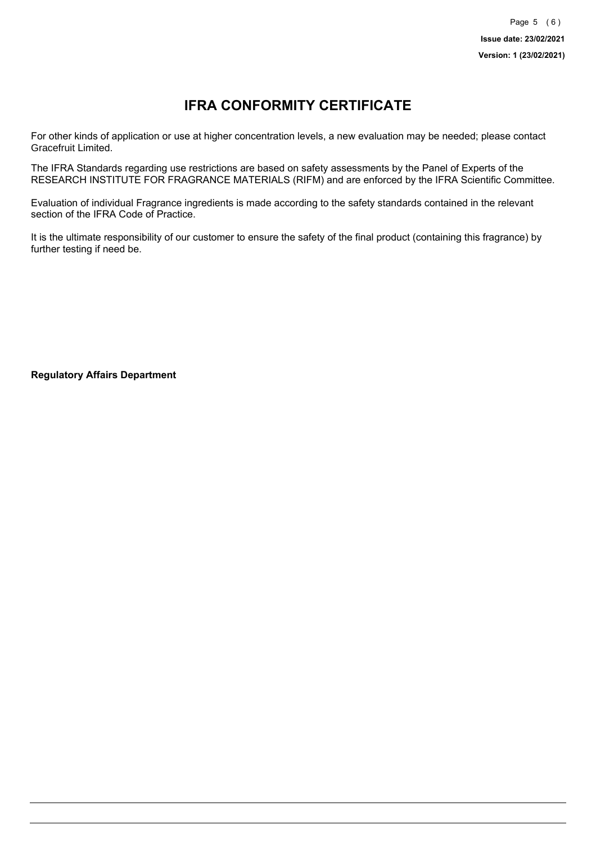# **IFRA CONFORMITY CERTIFICATE**

For other kinds of application or use at higher concentration levels, a new evaluation may be needed; please contact Gracefruit Limited.

The IFRA Standards regarding use restrictions are based on safety assessments by the Panel of Experts of the RESEARCH INSTITUTE FOR FRAGRANCE MATERIALS (RIFM) and are enforced by the IFRA Scientific Committee.

Evaluation of individual Fragrance ingredients is made according to the safety standards contained in the relevant section of the IFRA Code of Practice.

It is the ultimate responsibility of our customer to ensure the safety of the final product (containing this fragrance) by further testing if need be.

**Regulatory Affairs Department**